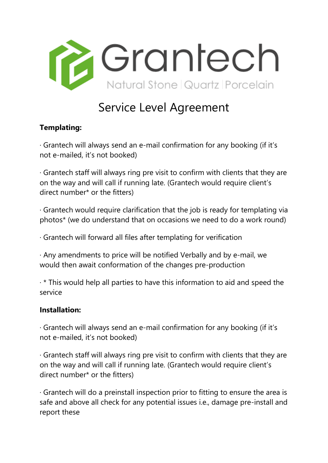

## Service Level Agreement

## **Templating:**

· Grantech will always send an e-mail confirmation for any booking (if it's not e-mailed, it's not booked)

· Grantech staff will always ring pre visit to confirm with clients that they are on the way and will call if running late. (Grantech would require client's direct number\* or the fitters)

· Grantech would require clarification that the job is ready for templating via photos\* (we do understand that on occasions we need to do a work round)

· Grantech will forward all files after templating for verification

· Any amendments to price will be notified Verbally and by e-mail, we would then await conformation of the changes pre-production

 $\cdot$  \* This would help all parties to have this information to aid and speed the service

## **Installation:**

· Grantech will always send an e-mail confirmation for any booking (if it's not e-mailed, it's not booked)

· Grantech staff will always ring pre visit to confirm with clients that they are on the way and will call if running late. (Grantech would require client's direct number\* or the fitters)

· Grantech will do a preinstall inspection prior to fitting to ensure the area is safe and above all check for any potential issues i.e., damage pre-install and report these